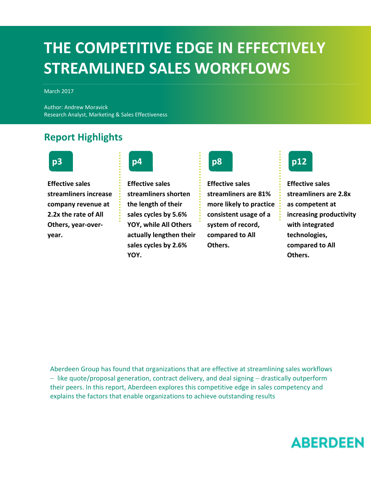### **THE COMPETITIVE EDGE IN EFFECTIVELY STREAMLINED SALES WORKFLOWS**

March 2017

Author: Andrew Moravick Research Analyst, Marketing & Sales Effectiveness

### **Report Highlights**



**Effective sales streamliners increase company revenue at 2.2x the rate of All Others, year-overyear.**



**Effective sales streamliners shorten the length of their sales cycles by 5.6% YOY, while All Others actually lengthen their sales cycles by 2.6% YOY.**



**Effective sales streamliners are 81% more likely to practice consistent usage of a system of record, compared to All Others.**



**Effective sales streamliners are 2.8x as competent at increasing productivity with integrated technologies, compared to All Others.**

Aberdeen Group has found that organizations that are effective at streamlining sales workflows − like quote/proposal generation, contract delivery, and deal signing − drastically outperform their peers. In this report, Aberdeen explores this competitive edge in sales competency and explains the factors that enable organizations to achieve outstanding results

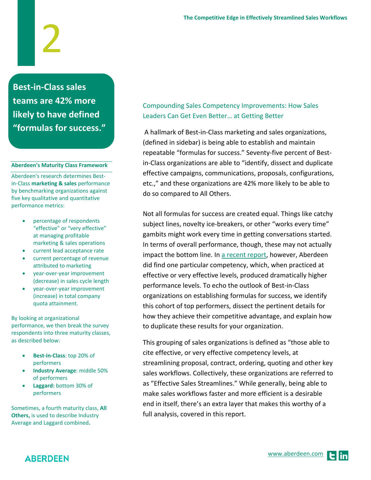**Best-in-Class sales teams are 42% more likely to have defined "formulas for success."**

### **Aberdeen's Maturity Class Framework**

Aberdeen's research determines Bestin-Class **marketing & sales** performance by benchmarking organizations against five key qualitative and quantitative performance metrics:

- percentage of respondents "effective" or "very effective" at managing profitable marketing & sales operations
- current lead acceptance rate
- current percentage of revenue attributed to marketing
- year-over-year improvement (decrease) in sales cycle length
- year-over-year improvement (increase) in total company quota attainment.

By looking at organizational performance, we then break the survey respondents into three maturity classes, as described below:

- **Best-in-Class**: top 20% of performers
- **Industry Average**: middle 50% of performers
- **Laggard:** bottom 30% of performers

Sometimes, a fourth maturity class, **All Others, is used to describe Industry** Average and Laggard combined**.**

### Compounding Sales Competency Improvements: How Sales Leaders Can Get Even Better… at Getting Better

A hallmark of Best-in-Class marketing and sales organizations, (defined in sidebar) is being able to establish and maintain repeatable "formulas for success." Seventy-five percent of Bestin-Class organizations are able to "identify, dissect and duplicate effective campaigns, communications, proposals, configurations, etc.," and these organizations are 42% more likely to be able to do so compared to All Others.

Not all formulas for success are created equal. Things like catchy subject lines, novelty ice-breakers, or other "works every time" gambits might work every time in getting conversations started. In terms of overall performance, though, these may not actually impact the bottom line. In [a recent report,](http://aberdeen.com/research/15437/15437-rr-sales-2017-overview/content.aspx) however, Aberdeen did find one particular competency, which, when practiced at effective or very effective levels, produced dramatically higher performance levels. To echo the outlook of Best-in-Class organizations on establishing formulas for success, we identify this cohort of top performers, dissect the pertinent details for how they achieve their competitive advantage, and explain how to duplicate these results for your organization.

This grouping of sales organizations is defined as "those able to cite effective, or very effective competency levels, at streamlining proposal, contract, ordering, quoting and other key sales workflows. Collectively, these organizations are referred to as "Effective Sales Streamlines." While generally, being able to make sales workflows faster and more efficient is a desirable end in itself, there's an extra layer that makes this worthy of a full analysis, covered in this report.

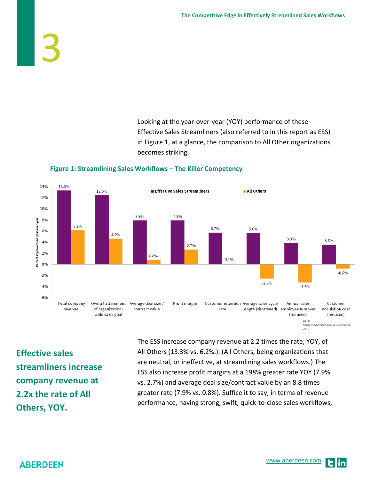Looking at the year-over-year (YOY) performance of these Effective Sales Streamliners (also referred to in this report as ESS) in Figure 1, at a glance, the comparison to All Other organizations becomes striking.



### **Figure 1: Streamlining Sales Workflows – The Killer Competency**

**Effective sales streamliners increase company revenue at 2.2x the rate of All Others, YOY.**

3

The ESS increase company revenue at 2.2 times the rate, YOY, of All Others (13.3% vs. 6.2%.). (All Others, being organizations that are neutral, or ineffective, at streamlining sales workflows.) The ESS also increase profit margins at a 198% greater rate YOY (7.9% vs. 2.7%) and average deal size/contract value by an 8.8 times greater rate (7.9% vs. 0.8%). Suffice it to say, in terms of revenue performance, having strong, swift, quick-to-close sales workflows,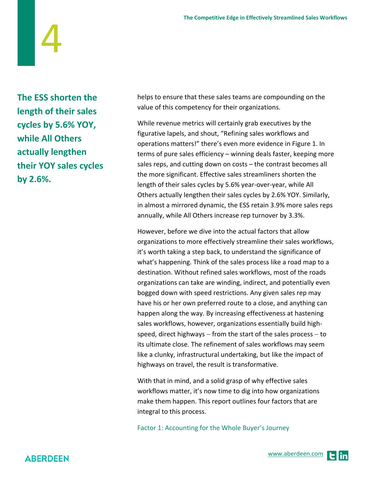**The ESS shorten the length of their sales cycles by 5.6% YOY, while All Others actually lengthen their YOY sales cycles by 2.6%.**

4

helps to ensure that these sales teams are compounding on the value of this competency for their organizations.

While revenue metrics will certainly grab executives by the figurative lapels, and shout, "Refining sales workflows and operations matters!" there's even more evidence in Figure 1. In terms of pure sales efficiency – winning deals faster, keeping more sales reps, and cutting down on costs – the contrast becomes all the more significant. Effective sales streamliners shorten the length of their sales cycles by 5.6% year-over-year, while All Others actually lengthen their sales cycles by 2.6% YOY. Similarly, in almost a mirrored dynamic, the ESS retain 3.9% more sales reps annually, while All Others increase rep turnover by 3.3%.

However, before we dive into the actual factors that allow organizations to more effectively streamline their sales workflows, it's worth taking a step back, to understand the significance of what's happening. Think of the sales process like a road map to a destination. Without refined sales workflows, most of the roads organizations can take are winding, indirect, and potentially even bogged down with speed restrictions. Any given sales rep may have his or her own preferred route to a close, and anything can happen along the way. By increasing effectiveness at hastening sales workflows, however, organizations essentially build highspeed, direct highways – from the start of the sales process – to its ultimate close. The refinement of sales workflows may seem like a clunky, infrastructural undertaking, but like the impact of highways on travel, the result is transformative.

With that in mind, and a solid grasp of why effective sales workflows matter, it's now time to dig into how organizations make them happen. This report outlines four factors that are integral to this process.

Factor 1: Accounting for the Whole Buyer's Journey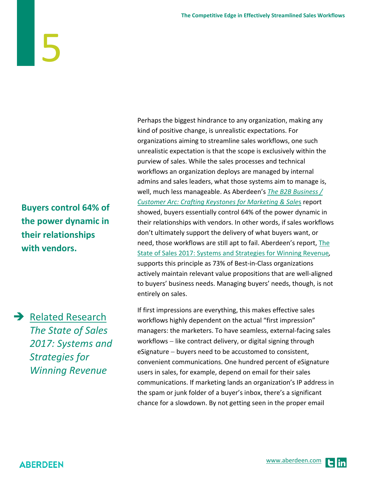**Buyers control 64% of the power dynamic in their relationships with vendors.**

5

 $\rightarrow$  [Related Research](http://aberdeen.com/research/15437/15437-rr-sales-2017-overview/content.aspx) *The State of Sales 2017: Systems and Strategies for Winning Revenue*

Perhaps the biggest hindrance to any organization, making any kind of positive change, is unrealistic expectations. For organizations aiming to streamline sales workflows, one such unrealistic expectation is that the scope is exclusively within the purview of sales. While the sales processes and technical workflows an organization deploys are managed by internal admins and sales leaders, what those systems aim to manage is, well, much less manageable. As Aberdeen's *[The B2B Business /](http://aberdeen.com/research/12508/12508-rr-business-customer-arc/content.aspx)  [Customer Arc: Crafting Keystones for Marketing & Sale](http://aberdeen.com/research/12508/12508-rr-business-customer-arc/content.aspx)*s report showed, buyers essentially control 64% of the power dynamic in their relationships with vendors. In other words, if sales workflows don't ultimately support the delivery of what buyers want, or need, those workflows are still apt to fail. Aberdeen's report, The [State of Sales 2017: Systems and Strategies for Winning Revenue](http://aberdeen.com/research/15437/15437-rr-sales-2017-overview/content.aspx)*,*  supports this principle as 73% of Best-in-Class organizations actively maintain relevant value propositions that are well-aligned to buyers' business needs. Managing buyers' needs, though, is not entirely on sales.

If first impressions are everything, this makes effective sales workflows highly dependent on the actual "first impression" managers: the marketers. To have seamless, external-facing sales workflows – like contract delivery, or digital signing through eSignature − buyers need to be accustomed to consistent, convenient communications. One hundred percent of eSignature users in sales, for example, depend on email for their sales communications. If marketing lands an organization's IP address in the spam or junk folder of a buyer's inbox, there's a significant chance for a slowdown. By not getting seen in the proper email

**ABERDEEN**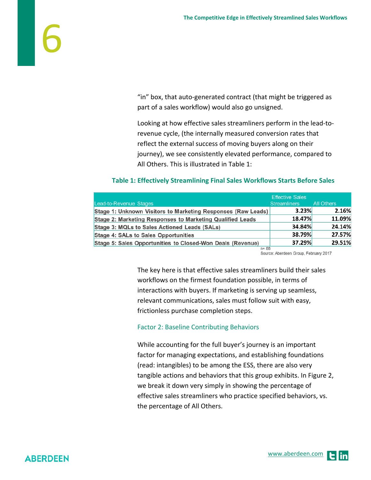"in" box, that auto-generated contract (that might be triggered as part of a sales workflow) would also go unsigned.

Looking at how effective sales streamliners perform in the lead-torevenue cycle, (the internally measured conversion rates that reflect the external success of moving buyers along on their journey), we see consistently elevated performance, compared to All Others. This is illustrated in Table 1:

### **Table 1: Effectively Streamlining Final Sales Workflows Starts Before Sales**

| Lead-to-Revenue Stages                                           | <b>Effective Sales</b><br><b>Streamliners</b> | <b>All Others</b> |
|------------------------------------------------------------------|-----------------------------------------------|-------------------|
| Stage 1: Unknown Visitors to Marketing Responses (Raw Leads)     | 3.23%                                         | 2.16%             |
| <b>Stage 2: Marketing Responses to Marketing Qualified Leads</b> | 18.47%                                        | 11.09%            |
| Stage 3: MQLs to Sales Actioned Leads (SALs)                     | 34.84%                                        | 24.14%            |
| <b>Stage 4: SALs to Sales Opportunities</b>                      | 38.79%                                        | 27.57%            |
| Stage 5: Sales Opportunities to Closed-Won Deals (Revenue)       | 37.29%                                        | 29.51%            |
| $n = 88$                                                         |                                               |                   |

Source: Aberdeen Group, February 2017

The key here is that effective sales streamliners build their sales workflows on the firmest foundation possible, in terms of interactions with buyers. If marketing is serving up seamless, relevant communications, sales must follow suit with easy, frictionless purchase completion steps.

### Factor 2: Baseline Contributing Behaviors

While accounting for the full buyer's journey is an important factor for managing expectations, and establishing foundations (read: intangibles) to be among the ESS, there are also very tangible actions and behaviors that this group exhibits. In Figure 2, we break it down very simply in showing the percentage of effective sales streamliners who practice specified behaviors, vs. the percentage of All Others.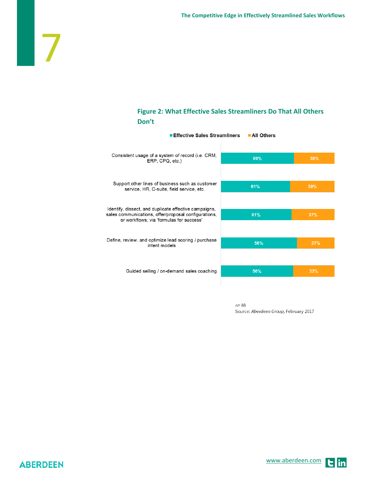### **Figure 2: What Effective Sales Streamliners Do That All Others Don't**

| ■ Effective Sales Streamliners                                                                                                                            | ■ All Others |     |
|-----------------------------------------------------------------------------------------------------------------------------------------------------------|--------------|-----|
| Consistent usage of a system of record (i.e. CRM,<br>ERP, CPQ, etc.)                                                                                      | 69%          | 38% |
| Support other lines of business such as customer<br>service, HR, C-suite, field service, etc.                                                             | 61%          | 39% |
| Identify, dissect, and duplicate effective campaigns,<br>sales communications, offer/proposal configurations,<br>or workflows, via 'formulas for success' | 61%          | 37% |
| Define, review, and optimize lead scoring / purchase<br>intent models                                                                                     | 56%          | 27% |
| Guided selling / on-demand sales coaching                                                                                                                 | 56%          | 32% |

n=88 Source: Aberdeen Group, February 2017

### **ABERDEEN**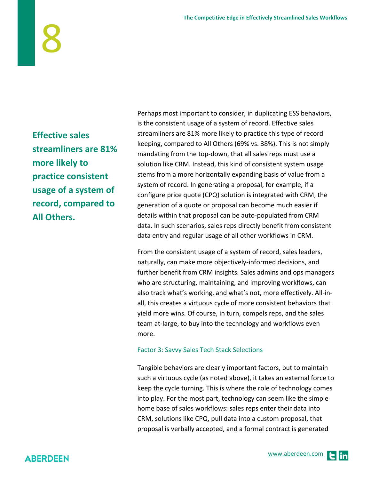**Effective sales streamliners are 81% more likely to practice consistent usage of a system of record, compared to All Others.**

8

Perhaps most important to consider, in duplicating ESS behaviors, is the consistent usage of a system of record. Effective sales streamliners are 81% more likely to practice this type of record keeping, compared to All Others (69% vs. 38%). This is not simply mandating from the top-down, that all sales reps must use a solution like CRM. Instead, this kind of consistent system usage stems from a more horizontally expanding basis of value from a system of record. In generating a proposal, for example, if a configure price quote (CPQ) solution is integrated with CRM, the generation of a quote or proposal can become much easier if details within that proposal can be auto-populated from CRM data. In such scenarios, sales reps directly benefit from consistent data entry and regular usage of all other workflows in CRM.

From the consistent usage of a system of record, sales leaders, naturally, can make more objectively-informed decisions, and further benefit from CRM insights. Sales admins and ops managers who are structuring, maintaining, and improving workflows, can also track what's working, and what's not, more effectively. All-inall, this creates a virtuous cycle of more consistent behaviors that yield more wins. Of course, in turn, compels reps, and the sales team at-large, to buy into the technology and workflows even more.

### Factor 3: Savvy Sales Tech Stack Selections

Tangible behaviors are clearly important factors, but to maintain such a virtuous cycle (as noted above), it takes an external force to keep the cycle turning. This is where the role of technology comes into play. For the most part, technology can seem like the simple home base of sales workflows: sales reps enter their data into CRM, solutions like CPQ, pull data into a custom proposal, that proposal is verbally accepted, and a formal contract is generated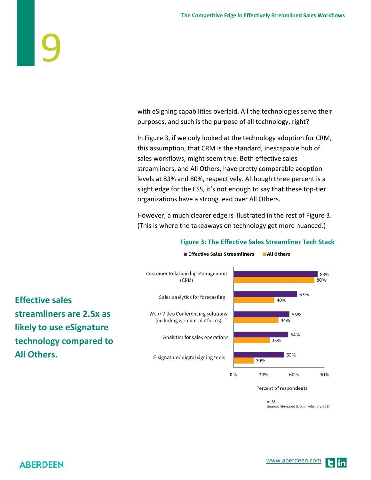with eSigning capabilities overlaid. All the technologies serve their purposes, and such is the purpose of all technology, right?

In Figure 3, if we only looked at the technology adoption for CRM, this assumption, that CRM is the standard, inescapable hub of sales workflows, might seem true. Both effective sales streamliners, and All Others, have pretty comparable adoption levels at 83% and 80%, respectively. Although three percent is a slight edge for the ESS, it's not enough to say that these top-tier organizations have a strong lead over All Others.

However, a much clearer edge is illustrated in the rest of Figure 3. (This is where the takeaways on technology get more nuanced.)



### **Figure 3: The Effective Sales Streamliner Tech Stack**

**Effective sales streamliners are 2.5x as likely to use eSignature technology compared to All Others.** 

Effective Sales Streamliners All Others

Percent of respondents

 $n = 88$ Source: Aberdeen Group, February 2017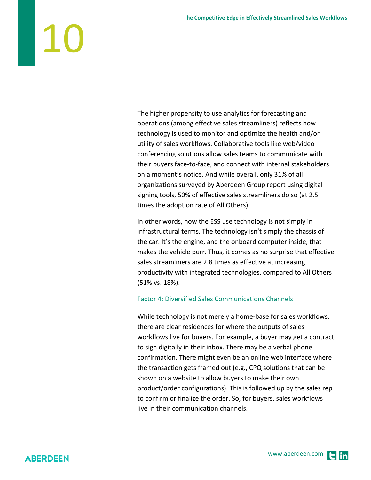The higher propensity to use analytics for forecasting and operations (among effective sales streamliners) reflects how technology is used to monitor and optimize the health and/or utility of sales workflows. Collaborative tools like web/video conferencing solutions allow sales teams to communicate with their buyers face-to-face, and connect with internal stakeholders on a moment's notice. And while overall, only 31% of all organizations surveyed by Aberdeen Group report using digital signing tools, 50% of effective sales streamliners do so (at 2.5 times the adoption rate of All Others).

In other words, how the ESS use technology is not simply in infrastructural terms. The technology isn't simply the chassis of the car. It's the engine, and the onboard computer inside, that makes the vehicle purr. Thus, it comes as no surprise that effective sales streamliners are 2.8 times as effective at increasing productivity with integrated technologies, compared to All Others (51% vs. 18%).

### Factor 4: Diversified Sales Communications Channels

While technology is not merely a home-base for sales workflows, there are clear residences for where the outputs of sales workflows live for buyers. For example, a buyer may get a contract to sign digitally in their inbox. There may be a verbal phone confirmation. There might even be an online web interface where the transaction gets framed out (e.g., CPQ solutions that can be shown on a website to allow buyers to make their own product/order configurations). This is followed up by the sales rep to confirm or finalize the order. So, for buyers, sales workflows live in their communication channels.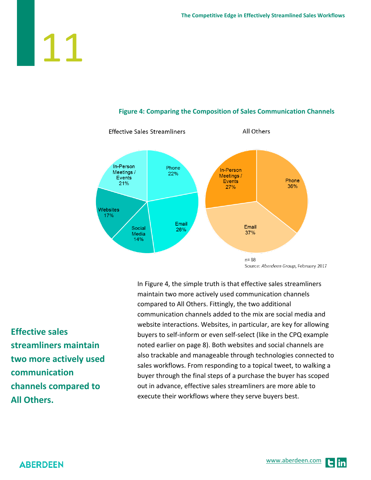

### **Figure 4: Comparing the Composition of Sales Communication Channels**

maintain two more actively used communication channels compared to All Others. Fittingly, the two additional communication channels added to the mix are social media and website interactions. Websites, in particular, are key for allowing buyers to self-inform or even self-select (like in the CPQ example noted earlier on page 8). Both websites and social channels are also trackable and manageable through technologies connected to sales workflows. From responding to a topical tweet, to walking a buyer through the final steps of a purchase the buyer has scoped out in advance, effective sales streamliners are more able to execute their workflows where they serve buyers best.

In Figure 4, the simple truth is that effective sales streamliners

**Effective sales streamliners maintain two more actively used communication channels compared to All Others.**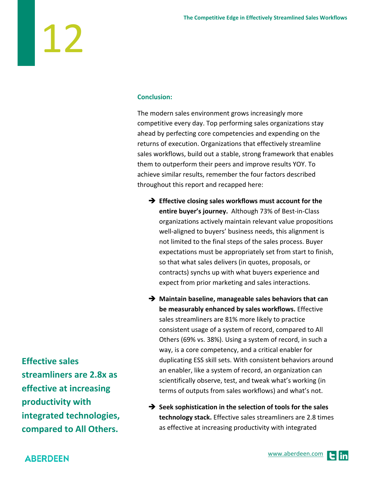### **Conclusion:**

The modern sales environment grows increasingly more competitive every day. Top performing sales organizations stay ahead by perfecting core competencies and expending on the returns of execution. Organizations that effectively streamline sales workflows, build out a stable, strong framework that enables them to outperform their peers and improve results YOY. To achieve similar results, remember the four factors described throughout this report and recapped here:

- **Effective closing sales workflows must account for the entire buyer's journey.** Although 73% of Best-in-Class organizations actively maintain relevant value propositions well-aligned to buyers' business needs, this alignment is not limited to the final steps of the sales process. Buyer expectations must be appropriately set from start to finish, so that what sales delivers (in quotes, proposals, or contracts) synchs up with what buyers experience and expect from prior marketing and sales interactions.
- **Maintain baseline, manageable sales behaviors that can be measurably enhanced by sales workflows.** Effective sales streamliners are 81% more likely to practice consistent usage of a system of record, compared to All Others (69% vs. 38%). Using a system of record, in such a way, is a core competency, and a critical enabler for duplicating ESS skill sets. With consistent behaviors around an enabler, like a system of record, an organization can scientifically observe, test, and tweak what's working (in terms of outputs from sales workflows) and what's not.
- **B** Seek sophistication in the selection of tools for the sales **technology stack.** Effective sales streamliners are 2.8 times as effective at increasing productivity with integrated

**Effective sales streamliners are 2.8x as effective at increasing productivity with integrated technologies, compared to All Others.**

### **ABERDEEN**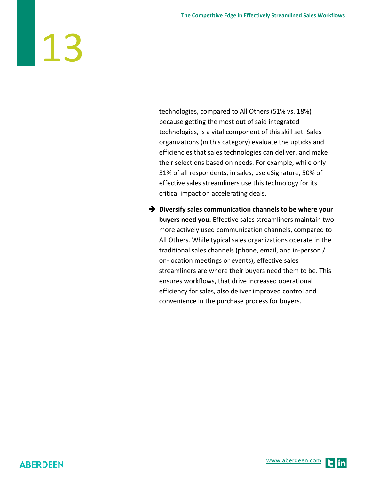technologies, compared to All Others (51% vs. 18%) because getting the most out of said integrated technologies, is a vital component of this skill set. Sales organizations (in this category) evaluate the upticks and efficiencies that sales technologies can deliver, and make their selections based on needs. For example, while only 31% of all respondents, in sales, use eSignature, 50% of effective sales streamliners use this technology for its critical impact on accelerating deals.

 **Diversify sales communication channels to be where your buyers need you.** Effective sales streamliners maintain two more actively used communication channels, compared to All Others. While typical sales organizations operate in the traditional sales channels (phone, email, and in-person / on-location meetings or events), effective sales streamliners are where their buyers need them to be. This ensures workflows, that drive increased operational efficiency for sales, also deliver improved control and convenience in the purchase process for buyers.